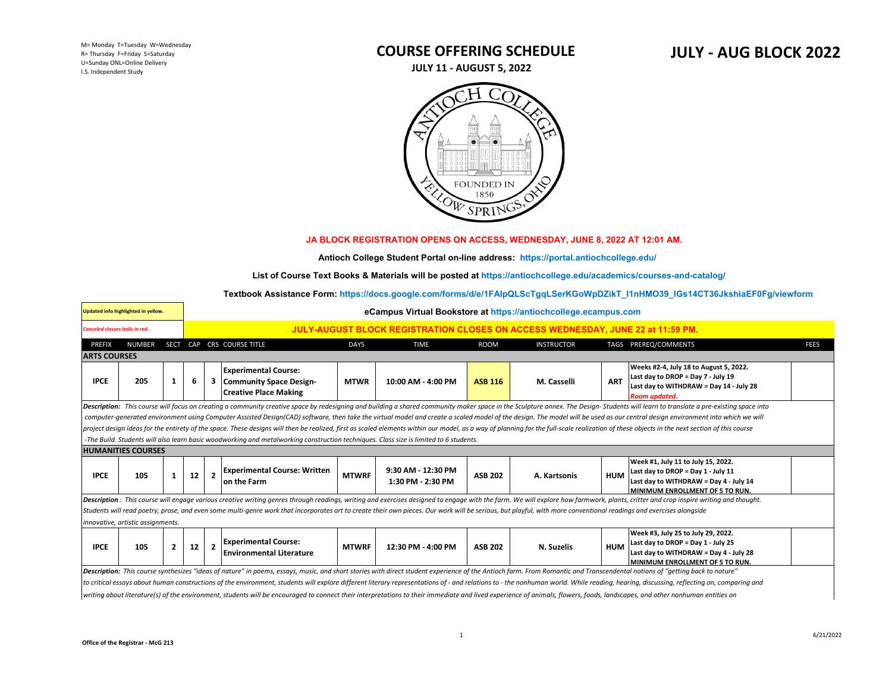M= Monday T=Tuesday W=Wednesday R= Thursday F=Friday S=Saturday U=Sunday ONL=Online Delivery I.S. Independent Study

# **COURSE OFFERING SCHEDULE JULY 11 - AUGUST 5, 2022**

### **JULY - AUG BLOCK 2022**



#### **JA BLOCK REGISTRATION OPENS ON ACCESS, WEDNESDAY, JUNE 8, 2022 AT 12:01 AM.**

 **[Antioch College Student Portal on-line address: https://portal.antiochcollege.edu/](https://portal.antiochcollege.edu/)**

**[List of Course Text Books & Materials will be posted at https://antiochcollege.edu/academics/courses-and-catalog/](https://antiochcollege.edu/academics/courses-and-catalog/)**

**[Textbook Assistance Form: https://docs.google.com/forms/d/e/1FAIpQLScTgqLSerKGoWpDZikT\\_I1nHMO39\\_lGs14CT36JkshiaEF0Fg/viewform](https://docs.google.com/forms/d/e/1FAIpQLScTgqLSerKGoWpDZikT_I1nHMO39_lGs14CT36JkshiaEF0Fg/viewform)**

| Updated info highlighted in yellow.                                                                                                                                                                                            | eCampus Virtual Bookstore at https://antiochcollege.ecampus.com |                                         |                |                   |            |                                                                                                                                                       |             |  |
|--------------------------------------------------------------------------------------------------------------------------------------------------------------------------------------------------------------------------------|-----------------------------------------------------------------|-----------------------------------------|----------------|-------------------|------------|-------------------------------------------------------------------------------------------------------------------------------------------------------|-------------|--|
| JULY-AUGUST BLOCK REGISTRATION CLOSES ON ACCESS WEDNESDAY, JUNE 22 at 11:59 PM.<br>Canceled classes italic in red.                                                                                                             |                                                                 |                                         |                |                   |            |                                                                                                                                                       |             |  |
| <b>PREFIX</b><br><b>NUMBER</b><br><b>SECT</b><br>CAP CRS COURSE TITLE                                                                                                                                                          | <b>DAYS</b>                                                     | <b>TIME</b>                             | <b>ROOM</b>    | <b>INSTRUCTOR</b> |            | TAGS PREREQ/COMMENTS                                                                                                                                  | <b>FEES</b> |  |
| <b>ARTS COURSES</b>                                                                                                                                                                                                            |                                                                 |                                         |                |                   |            |                                                                                                                                                       |             |  |
| <b>Experimental Course:</b><br><b>IPCE</b><br>205<br>$\mathbf{1}$<br>6<br><b>Community Space Design-</b><br>з.<br><b>Creative Place Making</b>                                                                                 | <b>MTWR</b>                                                     | 10:00 AM - 4:00 PM                      | <b>ASB 116</b> | M. Casselli       | <b>ART</b> | Weeks #2-4, July 18 to August 5, 2022.<br>Last day to DROP = Day 7 - July 19<br>Last day to WITHDRAW = Day 14 - July 28<br>Room updated.              |             |  |
| Description: This course will focus on creating a community creative space by redesigning and building a shared community maker space in the Sculpture annex. The Design- Students will learn to translate a pre-existing spac |                                                                 |                                         |                |                   |            |                                                                                                                                                       |             |  |
| computer-generated environment using Computer Assisted Design(CAD) software, then take the virtual model and create a scaled model of the design. The model will be used as our central design environment into which we will  |                                                                 |                                         |                |                   |            |                                                                                                                                                       |             |  |
| project design ideas for the entirety of the space. These designs will then be realized, first as scaled elements within our model, as a way of planning for the full-scale realization of these objects in the next section o |                                                                 |                                         |                |                   |            |                                                                                                                                                       |             |  |
| -The Build. Students will also learn basic woodworking and metalworking construction techniques. Class size is limited to 6 students.                                                                                          |                                                                 |                                         |                |                   |            |                                                                                                                                                       |             |  |
| <b>HUMANITIES COURSES</b>                                                                                                                                                                                                      |                                                                 |                                         |                |                   |            |                                                                                                                                                       |             |  |
| <b>Experimental Course: Written</b><br>$\overline{2}$<br><b>IPCE</b><br>105<br>1<br>12<br>on the Farm                                                                                                                          | <b>MTWRF</b>                                                    | 9:30 AM - 12:30 PM<br>1:30 PM - 2:30 PM | <b>ASB 202</b> | A. Kartsonis      | <b>HUM</b> | Week #1, July 11 to July 15, 2022.<br>Last day to DROP = Day 1 - July 11<br>Last day to WITHDRAW = Day 4 - July 14<br>MINIMUM ENROLLMENT OF 5 TO RUN. |             |  |
| Description: This course will engage various creative writing genres through readings, writing and exercises designed to engage with the farm. We will explore how farmwork, plants, critter and crop inspire writing and thou |                                                                 |                                         |                |                   |            |                                                                                                                                                       |             |  |
| Students will read poetry, prose, and even some multi-genre work that incorporates art to create their own pieces. Our work will be serious, but playful, with more conventional readings and exercises alongside              |                                                                 |                                         |                |                   |            |                                                                                                                                                       |             |  |
| innovative, artistic assignments.                                                                                                                                                                                              |                                                                 |                                         |                |                   |            |                                                                                                                                                       |             |  |
| <b>Experimental Course:</b><br>$\mathbf{2}$<br><b>IPCE</b><br>105<br>12<br>$\overline{2}$<br><b>Environmental Literature</b>                                                                                                   | <b>MTWRF</b>                                                    | 12:30 PM - 4:00 PM                      | <b>ASB 202</b> | N. Suzelis        | <b>HUM</b> | Week #3, July 25 to July 29, 2022.<br>Last day to DROP = Day 1 - July 25<br>Last day to WITHDRAW = Day 4 - July 28<br>MINIMUM ENROLLMENT OF 5 TO RUN. |             |  |
| Description: This course synthesizes "ideas of nature" in poems, essays, music, and short stories with direct student experience of the Antioch farm. From Romantic and Transcendental notions of "getting back to nature"     |                                                                 |                                         |                |                   |            |                                                                                                                                                       |             |  |
| to critical essays about human constructions of the environment, students will explore different literary representations of - and relations to - the nonhuman world. While reading, hearing, discussing, reflecting on, compa |                                                                 |                                         |                |                   |            |                                                                                                                                                       |             |  |
| writing about literature(s) of the environment, students will be encouraged to connect their interpretations to their immediate and lived experience of animals, flowers, foods, landscapes, and other nonhuman entities on    |                                                                 |                                         |                |                   |            |                                                                                                                                                       |             |  |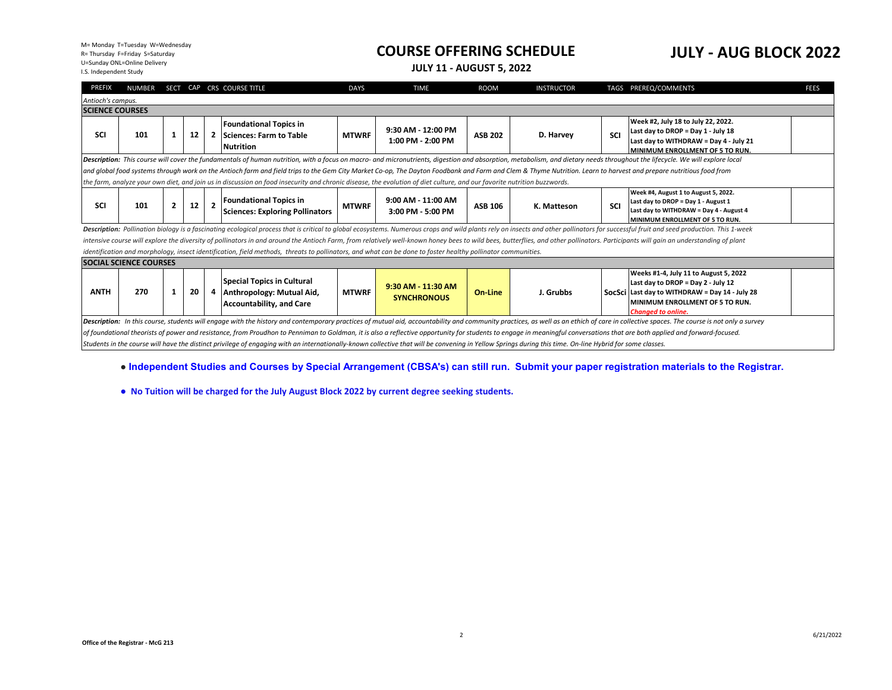M= Monday T=Tuesday W=Wednesday R= Thursday F=Friday S=Saturday U=Sunday ONL=Online Delivery I.S. Independent Study

# **COURSE OFFERING SCHEDULE JULY 11 - AUGUST 5, 2022**

## **JULY - AUG BLOCK 2022**

| <b>PREFIX</b>                                                                                                                                                                                                                                                                                                                                                                                                                                                                                                                                                                                                                                                            | <b>NUMBER</b> |                |    |                | SECT CAP CRS COURSE TITLE                                                                  | <b>DAYS</b>  | <b>TIME</b>                              | <b>ROOM</b>    | <b>INSTRUCTOR</b> |            | TAGS PREREQ/COMMENTS                                                                                                                                                                                 | <b>FEES</b> |
|--------------------------------------------------------------------------------------------------------------------------------------------------------------------------------------------------------------------------------------------------------------------------------------------------------------------------------------------------------------------------------------------------------------------------------------------------------------------------------------------------------------------------------------------------------------------------------------------------------------------------------------------------------------------------|---------------|----------------|----|----------------|--------------------------------------------------------------------------------------------|--------------|------------------------------------------|----------------|-------------------|------------|------------------------------------------------------------------------------------------------------------------------------------------------------------------------------------------------------|-------------|
| Antioch's campus.                                                                                                                                                                                                                                                                                                                                                                                                                                                                                                                                                                                                                                                        |               |                |    |                |                                                                                            |              |                                          |                |                   |            |                                                                                                                                                                                                      |             |
| <b>SCIENCE COURSES</b>                                                                                                                                                                                                                                                                                                                                                                                                                                                                                                                                                                                                                                                   |               |                |    |                |                                                                                            |              |                                          |                |                   |            |                                                                                                                                                                                                      |             |
| <b>SCI</b>                                                                                                                                                                                                                                                                                                                                                                                                                                                                                                                                                                                                                                                               | 101           | 1              | 12 |                | <b>Foundational Topics in</b><br>2 Sciences: Farm to Table<br><b>Nutrition</b>             | <b>MTWRF</b> | 9:30 AM - 12:00 PM<br>1:00 PM - 2:00 PM  | <b>ASB 202</b> | D. Harvey         | SCI        | Week #2, July 18 to July 22, 2022.<br>Last day to DROP = Day $1 -$ July 18<br>Last day to WITHDRAW = Day 4 - July 21<br><b>MINIMUM ENROLLMENT OF 5 TO RUN.</b>                                       |             |
| Description: This course will cover the fundamentals of human nutrition, with a focus on macro- and micronutrients, digestion and absorption, metabolism, and dietary needs throughout the lifecycle. We will explore local<br>and global food systems through work on the Antioch farm and field trips to the Gem City Market Co-op, The Dayton Foodbank and Farm and Clem & Thyme Nutrition. Learn to harvest and prepare nutritious food from<br>the farm, analyze your own diet, and join us in discussion on food insecurity and chronic disease, the evolution of diet culture, and our favorite nutrition buzzwords.                                              |               |                |    |                |                                                                                            |              |                                          |                |                   |            |                                                                                                                                                                                                      |             |
| <b>SCI</b>                                                                                                                                                                                                                                                                                                                                                                                                                                                                                                                                                                                                                                                               | 101           | $\overline{2}$ | 12 | $\overline{2}$ | <b>Foundational Topics in</b><br><b>Sciences: Exploring Pollinators</b>                    | <b>MTWRF</b> | 9:00 AM - 11:00 AM<br>3:00 PM - 5:00 PM  | <b>ASB 106</b> | K. Matteson       | <b>SCI</b> | Week #4, August 1 to August 5, 2022.<br>Last day to DROP = Day 1 - August 1<br>Last day to WITHDRAW = Day 4 - August 4<br>MINIMUM ENROLLMENT OF 5 TO RUN.                                            |             |
| Description: Pollination biology is a fascinating ecological process that is critical to global ecosystems. Numerous crops and wild plants rely on insects and other pollinators for successful fruit and seed production. Thi                                                                                                                                                                                                                                                                                                                                                                                                                                           |               |                |    |                |                                                                                            |              |                                          |                |                   |            |                                                                                                                                                                                                      |             |
| intensive course will explore the diversity of pollinators in and around the Antioch Farm, from relatively well-known honey bees to wild bees, butterflies, and other pollinators. Participants will gain an understanding of                                                                                                                                                                                                                                                                                                                                                                                                                                            |               |                |    |                |                                                                                            |              |                                          |                |                   |            |                                                                                                                                                                                                      |             |
| identification and morphology, insect identification, field methods, threats to pollinators, and what can be done to foster healthy pollinator communities.                                                                                                                                                                                                                                                                                                                                                                                                                                                                                                              |               |                |    |                |                                                                                            |              |                                          |                |                   |            |                                                                                                                                                                                                      |             |
| <b>SOCIAL SCIENCE COURSES</b>                                                                                                                                                                                                                                                                                                                                                                                                                                                                                                                                                                                                                                            |               |                |    |                |                                                                                            |              |                                          |                |                   |            |                                                                                                                                                                                                      |             |
| <b>ANTH</b>                                                                                                                                                                                                                                                                                                                                                                                                                                                                                                                                                                                                                                                              | 270           | 1              | 20 | 4              | Special Topics in Cultural<br>Anthropology: Mutual Aid,<br><b>Accountability, and Care</b> | <b>MTWRF</b> | 9:30 AM - 11:30 AM<br><b>SYNCHRONOUS</b> | On-Line        | J. Grubbs         |            | Weeks #1-4, July 11 to August 5, 2022<br>Last day to DROP = Day 2 - July 12<br>SocSci Last day to WITHDRAW = Day 14 - July 28<br><b>MINIMUM ENROLLMENT OF 5 TO RUN.</b><br><b>Chanaed to online.</b> |             |
| Description: In this course, students will engage with the history and contemporary practices of mutual aid, accountability and community practices, as well as an ethich of care in collective spaces. The course is not only<br>of foundational theorists of power and resistance, from Proudhon to Penniman to Goldman, it is also a reflective opportunity for students to engage in meaningful conversations that are both applied and forward-focused.<br>Students in the course will have the distinct privilege of engaging with an internationally-known collective that will be convening in Yellow Springs during this time. On-line Hybrid for some classes. |               |                |    |                |                                                                                            |              |                                          |                |                   |            |                                                                                                                                                                                                      |             |
|                                                                                                                                                                                                                                                                                                                                                                                                                                                                                                                                                                                                                                                                          |               |                |    |                |                                                                                            |              |                                          |                |                   |            |                                                                                                                                                                                                      |             |

#### ● **Independent Studies and Courses by Special Arrangement (CBSA's) can still run. Submit your paper registration materials to the Registrar.**

**● No Tuition will be charged for the July August Block 2022 by current degree seeking students.**